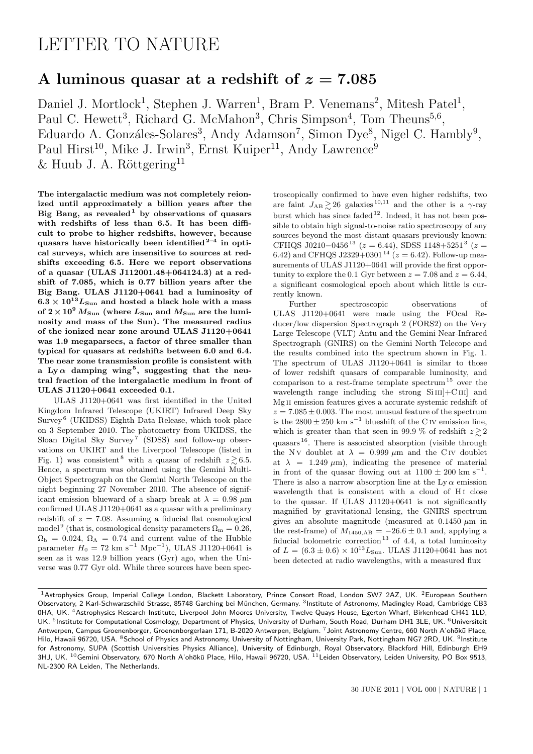## LETTER TO NATURE

## A luminous quasar at a redshift of  $z = 7.085$

Daniel J. Mortlock<sup>1</sup>, Stephen J. Warren<sup>1</sup>, Bram P. Venemans<sup>2</sup>, Mitesh Patel<sup>1</sup>, Paul C. Hewett<sup>3</sup>, Richard G. McMahon<sup>3</sup>, Chris Simpson<sup>4</sup>, Tom Theuns<sup>5,6</sup>, Eduardo A. Gonzáles-Solares<sup>3</sup>, Andy Adamson<sup>7</sup>, Simon Dye<sup>8</sup>, Nigel C. Hambly<sup>9</sup>, Paul Hirst<sup>10</sup>, Mike J. Irwin<sup>3</sup>, Ernst Kuiper<sup>11</sup>, Andy Lawrence<sup>9</sup>  $&$  Huub J. A. Röttgering<sup>11</sup>

The intergalactic medium was not completely reionized until approximately a billion years after the Big Bang, as revealed by observations of quasars with redshifts of less than 6.5. It has been difficult to probe to higher redshifts, however, because quasars have historically been identified  $2^{-4}$  in optical surveys, which are insensitive to sources at redshifts exceeding 6.5. Here we report observations of a quasar (ULAS J112001.48+064124.3) at a redshift of 7.085, which is 0.77 billion years after the Big Bang. ULAS J1120+0641 had a luminosity of  $6.3\times 10^{13} L_{\rm Sun}$  and hosted a black hole with a mass of  $2 \times 10^9$   $M_{\text{Sun}}$  (where  $L_{\text{Sun}}$  and  $M_{\text{Sun}}$  are the luminosity and mass of the Sun). The measured radius of the ionized near zone around ULAS J1120+0641 was 1.9 megaparsecs, a factor of three smaller than typical for quasars at redshifts between 6.0 and 6.4. The near zone transmission profile is consistent with a Ly  $\alpha$  damping wing<sup>5</sup>, suggesting that the neutral fraction of the intergalactic medium in front of ULAS J1120+0641 exceeded 0.1.

ULAS J1120+0641 was first identified in the United Kingdom Infrared Telescope (UKIRT) Infrared Deep Sky Survey<sup>6</sup> (UKIDSS) Eighth Data Release, which took place on 3 September 2010. The photometry from UKIDSS, the Sloan Digital Sky Survey<sup>7</sup> (SDSS) and follow-up observations on UKIRT and the Liverpool Telescope (listed in Fig. 1) was consistent<sup>8</sup> with a quasar of redshift  $z \ge 6.5$ . Hence, a spectrum was obtained using the Gemini Multi-Object Spectrograph on the Gemini North Telescope on the night beginning 27 November 2010. The absence of significant emission blueward of a sharp break at  $\lambda = 0.98 \ \mu m$ confirmed ULAS J1120+0641 as a quasar with a preliminary redshift of  $z = 7.08$ . Assuming a fiducial flat cosmological model<sup>9</sup> (that is, cosmological density parameters  $\Omega_{\rm m} = 0.26$ ,  $\Omega_{\rm b} = 0.024, \Omega_{\Lambda} = 0.74$  and current value of the Hubble parameter  $H_0 = 72 \text{ km s}^{-1} \text{ Mpc}^{-1}$ , ULAS J1120+0641 is seen as it was 12.9 billion years (Gyr) ago, when the Universe was 0.77 Gyr old. While three sources have been spec-

troscopically confirmed to have even higher redshifts, two are faint  $J_{AB} \gtrsim 26$  galaxies  $^{10,11}$  and the other is a  $\gamma$ -ray burst which has since faded  $12$ . Indeed, it has not been possible to obtain high signal-to-noise ratio spectroscopy of any sources beyond the most distant quasars previously known: CFHQS J0210-0456<sup>13</sup> ( $z = 6.44$ ), SDSS 1148+5251<sup>3</sup> ( $z =$ 6.42) and CFHQS J2329+0301<sup>14</sup> ( $z = 6.42$ ). Follow-up measurements of ULAS J1120+0641 will provide the first opportunity to explore the 0.1 Gyr between  $z = 7.08$  and  $z = 6.44$ , a significant cosmological epoch about which little is currently known.

Further spectroscopic observations of ULAS J1120+0641 were made using the FOcal Reducer/low dispersion Spectrograph 2 (FORS2) on the Very Large Telescope (VLT) Antu and the Gemini Near-Infrared Spectrograph (GNIRS) on the Gemini North Telecope and the results combined into the spectrum shown in Fig. 1. The spectrum of ULAS J1120+0641 is similar to those of lower redshift quasars of comparable luminosity, and comparison to a rest-frame template spectrum<sup>15</sup> over the wavelength range including the strong  $Si III$ + $C III$  and Mg ii emission features gives a accurate systemic redshift of  $z = 7.085 \pm 0.003$ . The most unusual feature of the spectrum is the 2800  $\pm$  250 km s<sup>-1</sup> blueshift of the C<sub>IV</sub> emission line, which is greater than that seen in 99.9 % of redshift  $z \gtrsim 2$ quasars <sup>16</sup>. There is associated absorption (visible through the N v doublet at  $\lambda = 0.999 \ \mu m$  and the C iv doublet at  $\lambda = 1.249 \mu m$ , indicating the presence of material in front of the quasar flowing out at  $1100 \pm 200$  km s<sup>-1</sup>. There is also a narrow absorption line at the Ly  $\alpha$  emission wavelength that is consistent with a cloud of H<sub>I</sub> close to the quasar. If ULAS J1120+0641 is not significantly magnified by gravitational lensing, the GNIRS spectrum gives an absolute magnitude (measured at  $0.1450 \mu m$  in the rest-frame) of  $M_{1450,AB} = -26.6 \pm 0.1$  and, applying a fiducial bolometric correction<sup>13</sup> of 4.4, a total luminosity of  $L = (6.3 \pm 0.6) \times 10^{13} L_{\text{Sun}}$ . ULAS J1120+0641 has not been detected at radio wavelengths, with a measured flux

<sup>&</sup>lt;sup>1</sup> Astrophysics Group, Imperial College London, Blackett Laboratory, Prince Consort Road, London SW7 2AZ, UK. <sup>2</sup> European Southern Observatory, 2 Karl-Schwarzschild Strasse, 85748 Garching bei München, Germany. <sup>3</sup>Institute of Astronomy, Madingley Road, Cambridge CB3 0HA, UK. <sup>4</sup>Astrophysics Research Institute, Liverpool John Moores University, Twelve Quays House, Egerton Wharf, Birkenhead CH41 1LD, UK. <sup>5</sup>Institute for Computational Cosmology, Department of Physics, University of Durham, South Road, Durham DH1 3LE, UK. <sup>6</sup>Universiteit Antwerpen, Campus Groenenborger, Groenenborgerlaan 171, B-2020 Antwerpen, Belgium. 7Joint Astronomy Centre, 660 North A'ohōkū Place, Hilo, Hawaii 96720, USA. <sup>8</sup>School of Physics and Astronomy, University of Nottingham, University Park, Nottingham NG7 2RD, UK. <sup>9</sup>Institute for Astronomy, SUPA (Scottish Universities Physics Alliance), University of Edinburgh, Royal Observatory, Blackford Hill, Edinburgh EH9 3HJ, UK. <sup>10</sup>Gemini Observatory, 670 North A'ohōkū Place, Hilo, Hawaii 96720, USA. <sup>11</sup>Leiden Observatory, Leiden University, PO Box 9513, NL-2300 RA Leiden, The Netherlands.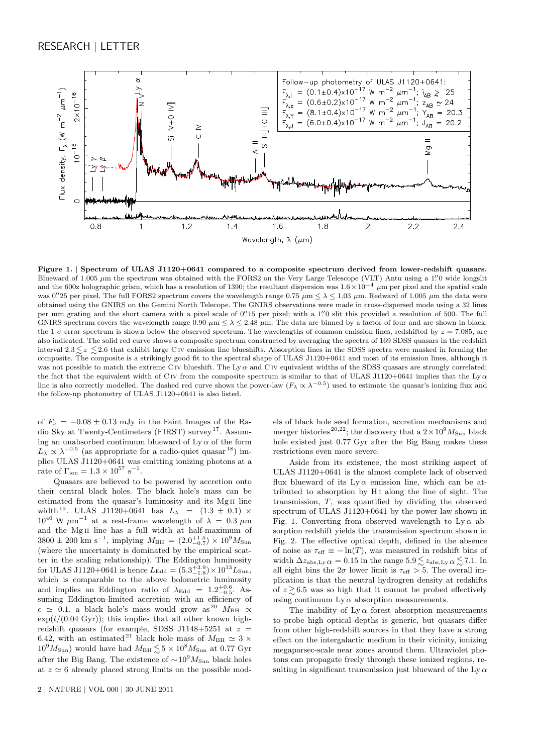

Figure 1. | Spectrum of ULAS J1120+0641 compared to a composite spectrum derived from lower-redshift quasars. Blueward of 1.005  $\mu$ m the spectrum was obtained with the FORS2 on the Very Large Telescope (VLT) Antu using a 1."0 wide longslit and the 600z holographic grism, which has a resolution of 1390; the resultant dispersion was  $1.6 \times 10^{-4} \mu m$  per pixel and the spatial scale was 0. 25 per pixel. The full FORS2 spectrum covers the wavelength range  $0.75 \mu m \leq \lambda \leq 1.03 \mu m$ . Redward of 1.005  $\mu$ m the data were obtained using the GNIRS on the Gemini North Telecope. The GNIRS observations were made in cross-dispersed mode using a 32 lines per mm grating and the short camera with a pixel scale of 0. The pixel; with a 1. O slit this provided a resolution of 500. The full GNIRS spectrum covers the wavelength range 0.90  $\mu$ m  $\leq \lambda \leq 2.48$   $\mu$ m. The data are binned by a factor of four and are shown in black; the 1  $\sigma$  error spectrum is shown below the observed spectrum. The wavelengths of common emission lines, redshifted by  $z = 7.085$ , are also indicated. The solid red curve shows a composite spectrum constructed by averaging the spectra of 169 SDSS quasars in the redshift interval  $2.3 \leq z \leq 2.6$  that exhibit large C<sub>IV</sub> emission line blueshifts. Absorption lines in the SDSS spectra were masked in forming the composite. The composite is a strikingly good fit to the spectral shape of ULAS J1120+0641 and most of its emission lines, although it was not possible to match the extreme CIV blueshift. The Ly  $\alpha$  and CIV equivalent widths of the SDSS quasars are strongly correlated; the fact that the equivalent width of C<sub>IV</sub> from the composite spectrum is similar to that of ULAS J1120+0641 implies that the Ly  $\alpha$ line is also correctly modelled. The dashed red curve shows the power-law  $(F_{\lambda} \propto \lambda^{-0.5})$  used to estimate the quasar's ionizing flux and the follow-up photometry of ULAS J1120+0641 is also listed.

of  $F_v = -0.08 \pm 0.13$  mJy in the Faint Images of the Radio Sky at Twenty-Centimeters (FIRST) survey <sup>17</sup>. Assuming an unabsorbed continuum blueward of  $Ly \alpha$  of the form  $L_{\lambda} \propto \lambda^{-0.5}$  (as appropriate for a radio-quiet quasar <sup>18</sup>) implies ULAS J1120+0641 was emitting ionizing photons at a rate of  $\Gamma_{\text{ion}} = 1.3 \times 10^{57} \text{ s}^{-1}$ .

Quasars are believed to be powered by accretion onto their central black holes. The black hole's mass can be estimated from the quasar's luminosity and its Mg II line width<sup>19</sup>. ULAS J1120+0641 has  $L_{\lambda} = (1.3 \pm 0.1) \times$  $10^{40}$  W  $\mu$ m<sup>-1</sup> at a rest-frame wavelength of  $\lambda = 0.3 \mu$ m and the Mg ii line has a full width at half-maximum of  $3800 \pm 200$  km s<sup>-1</sup>, implying  $M_{\rm BH} = (2.0^{+1.5}_{-0.7}) \times 10^9 M_{\rm Sun}$ (where the uncertainty is dominated by the empirical scatter in the scaling relationship). The Eddington luminosity for ULAS J1120+0641 is hence  $L_{\text{Edd}} = (5.3^{+3.9}_{-1.8}) \times 10^{13} L_{\text{Sun}}$ , which is comparable to the above bolometric luminosity and implies an Eddington ratio of  $\lambda_{\text{Edd}} = 1.2^{+0.6}_{-0.5}$ . Assuming Eddington-limited accretion with an efficiency of  $\epsilon \simeq 0.1$ , a black hole's mass would grow as <sup>20</sup>  $M_{\text{BH}} \propto$  $\exp(t/(0.04 \text{ Gyr}))$ ; this implies that all other known highredshift quasars (for example, SDSS J1148+5251 at  $z =$ 6.42, with an estimated <sup>21</sup> black hole mass of  $M_{\rm BH} \simeq 3 \times$  $10^9 M_{\rm Sun}$ ) would have had  $M_{\rm BH} \lesssim 5 \times 10^8 M_{\rm Sun}$  at 0.77 Gyr after the Big Bang. The existence of  $\sim 10^9 M_{\rm Sun}$  black holes at  $z \simeq 6$  already placed strong limits on the possible mod-

els of black hole seed formation, accretion mechanisms and merger histories<sup>20,22</sup>; the discovery that a  $2 \times 10^9 M_{\text{Sun}}$  black hole existed just 0.77 Gyr after the Big Bang makes these restrictions even more severe.

Aside from its existence, the most striking aspect of ULAS J1120+0641 is the almost complete lack of observed flux blueward of its  $Ly \alpha$  emission line, which can be attributed to absorption by H i along the line of sight. The transmission, T, was quantified by dividing the observed spectrum of ULAS J1120+0641 by the power-law shown in Fig. 1. Converting from observed wavelength to  $Ly \alpha$  absorption redshift yields the transmission spectrum shown in Fig. 2. The effective optical depth, defined in the absence of noise as  $\tau_{\text{eff}} \equiv -\ln(T)$ , was measured in redshift bins of width  $\Delta z_{\rm abs,Ly} \alpha = 0.15$  in the range  $5.9 \leq z_{\rm abs,Ly} \alpha \leq 7.1$ . In all eight bins the  $2\sigma$  lower limit is  $\tau_{\text{eff}} > 5$ . The overall implication is that the neutral hydrogren density at redshifts of  $z \gtrsim 6.5$  was so high that it cannot be probed effectively using continuum  $Ly \alpha$  absorption measurements.

The inability of  $Ly \alpha$  forest absorption measurements to probe high optical depths is generic, but quasars differ from other high-redshift sources in that they have a strong effect on the intergalactic medium in their vicinity, ionizing megaparsec-scale near zones around them. Ultraviolet photons can propagate freely through these ionized regions, resulting in significant transmission just blueward of the Ly  $\alpha$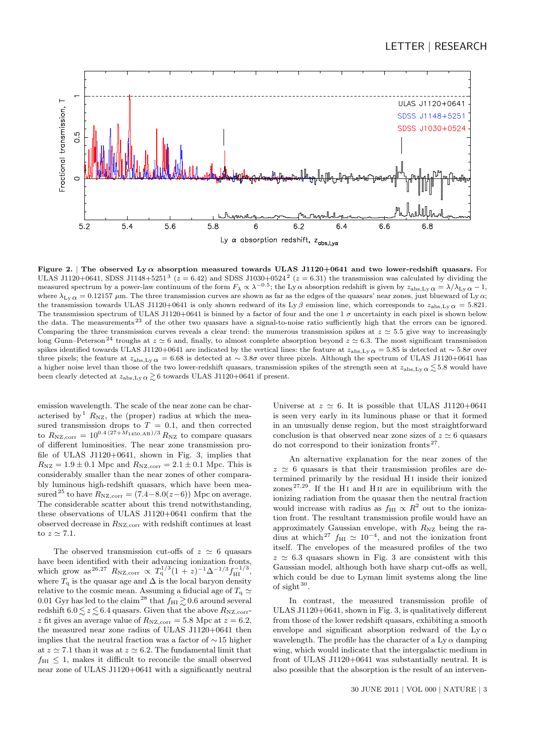

Figure 2. | The observed Ly  $\alpha$  absorption measured towards ULAS J1120+0641 and two lower-redshift quasars. For ULAS J1120+0641, SDSS J1148+5251<sup>3</sup> ( $z = 6.42$ ) and SDSS J1030+0524<sup>2</sup> ( $z = 6.31$ ) the transmission was calculated by dividing the measured spectrum by a power-law continuum of the form  $F_{\lambda} \propto \lambda^{-0.5}$ ; the Ly  $\alpha$  absorption redshift is given by  $z_{\text{abs, Ly }\alpha} = \lambda/\lambda_{\text{Ly }\alpha} - 1$ , where  $\lambda_{\text{L},y}$  = 0.12157  $\mu$ m. The three transmission curves are shown as far as the edges of the quasars' near zones, just blueward of Ly  $\alpha$ ; the transmission towards ULAS J1120+0641 is only shown redward of its Ly β emission line, which corresponds to  $z_{\text{abs,Ly }\alpha} = 5.821$ . The transmission spectrum of ULAS J1120+0641 is binned by a factor of four and the one 1  $\sigma$  uncertainty in each pixel is shown below the data. The measurements<sup>23</sup> of the other two quasars have a signal-to-noise ratio sufficiently high that the errors can be ignored. Comparing the three transmission curves reveals a clear trend: the numerous transmission spikes at  $z \approx 5.5$  give way to increasingly long Gunn–Peterson<sup>24</sup> troughs at  $z \approx 6$  and, finally, to almost complete absorption beyond  $z \approx 6.3$ . The most significant transmission spikes identified towards ULAS J1120+0641 are indicated by the vertical lines: the feature at  $z_{\text{abs,Ly}}\alpha = 5.85$  is detected at ~ 5.8 $\sigma$  over three pixels; the feature at  $z_{\text{abs,Lv}} \alpha = 6.68$  is detected at ~ 3.8σ over three pixels. Although the spectrum of ULAS J1120+0641 has a higher noise level than those of the two lower-redshift quasars, transmission spikes of the strength seen at  $z_{\text{abs,Ly}} \alpha \lesssim 5.8$  would have been clearly detected at  $z_{\rm abs,Ly} \propto z_{\rm 0}$  towards ULAS J1120+0641 if present.

emission wavelength. The scale of the near zone can be characterised by  $R_{\text{NZ}}$ , the (proper) radius at which the measured transmission drops to  $T = 0.1$ , and then corrected to  $R_{\rm NZ,corr} = 10^{0.4(27+M_{1450,AB})/3} R_{\rm NZ}$  to compare quasars of different luminosities. The near zone transmission profile of ULAS J1120+0641, shown in Fig. 3, implies that  $R_{\rm NZ} = 1.9 \pm 0.1$  Mpc and  $R_{\rm NZ,corr} = 2.1 \pm 0.1$  Mpc. This is considerably smaller than the near zones of other comparably luminous high-redshift quasars, which have been measured<sup>25</sup> to have  $R_{\text{NZ.corr}} = (7.4 - 8.0(z-6))$  Mpc on average. The considerable scatter about this trend notwithstanding, these observations of ULAS J1120+0641 confirm that the observed decrease in  $R_{\rm NZ,corr}$  with redshift continues at least to  $z \simeq 7.1$ .

The observed transmission cut-offs of  $z \approx 6$  quasars have been identified with their advancing ionization fronts, which grow as <sup>26,27</sup>  $R_{\text{NZ,corr}} \propto T_q^{1/3} (1+z)^{-1} \Delta^{-1/3} f_{\text{HI}}^{-1/3}$ , where  $T_q$  is the quasar age and  $\Delta$  is the local baryon density relative to the cosmic mean. Assuming a fiducial age of  $T_q \simeq$ 0.01 Gyr has led to the claim<sup>28</sup> that  $f_{\text{HI}} \gtrsim 0.6$  around several redshift  $6.0 \lesssim z \lesssim 6.4$  quasars. Given that the above  $R_{\rm NZ,corr}$ z fit gives an average value of  $R_{\text{NZ,corr}} = 5.8$  Mpc at  $z = 6.2$ , the measured near zone radius of ULAS J1120+0641 then implies that the neutral fraction was a factor of ∼15 higher at  $z \approx 7.1$  than it was at  $z \approx 6.2$ . The fundamental limit that  $f_{\text{HI}} \leq 1$ , makes it difficult to reconcile the small observed near zone of ULAS J1120+0641 with a significantly neutral

Universe at  $z \approx 6$ . It is possible that ULAS J1120+0641 is seen very early in its luminous phase or that it formed in an unusually dense region, but the most straightforward conclusion is that observed near zone sizes of  $z \approx 6$  quasars do not correspond to their ionization fronts <sup>27</sup> .

An alternative explanation for the near zones of the  $z \approx 6$  quasars is that their transmission profiles are determined primarily by the residual H i inside their ionized zones<sup>27,29</sup>. If the H<sub>I</sub> and H<sub>II</sub> are in equilibrium with the ionizing radiation from the quasar then the neutral fraction would increase with radius as  $f_{\text{HI}} \propto R^2$  out to the ionization front. The resultant transmission profile would have an approximately Gaussian envelope, with  $R_{\text{NZ}}$  being the radius at which<sup>27</sup>  $f_{\text{HI}} \simeq 10^{-4}$ , and not the ionization front itself. The envelopes of the measured profiles of the two  $z \approx 6.3$  quasars shown in Fig. 3 are consistent with this Gaussian model, although both have sharp cut-offs as well, which could be due to Lyman limit systems along the line of sight <sup>30</sup> .

In contrast, the measured transmission profile of ULAS J1120+0641, shown in Fig. 3, is qualitatively different from those of the lower redshift quasars, exhibiting a smooth envelope and significant absorption redward of the Ly  $\alpha$ wavelength. The profile has the character of a Ly  $\alpha$  damping wing, which would indicate that the intergalactic medium in front of ULAS J1120+0641 was substantially neutral. It is also possible that the absorption is the result of an interven-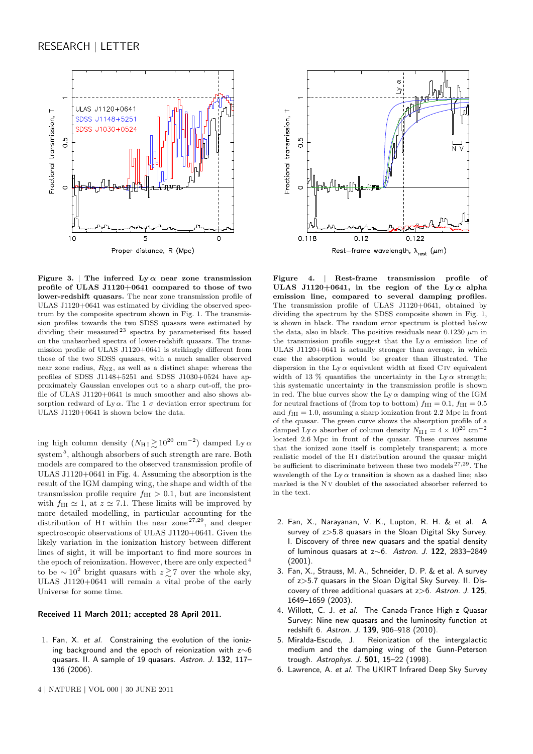

Figure 3. | The inferred  $Ly \alpha$  near zone transmission profile of ULAS J1120+0641 compared to those of two lower-redshift quasars. The near zone transmission profile of ULAS J1120+0641 was estimated by dividing the observed spectrum by the composite spectrum shown in Fig. 1. The transmission profiles towards the two SDSS quasars were estimated by dividing their measured <sup>23</sup> spectra by parameterised fits based on the unabsorbed spectra of lower-redshift quasars. The transmission profile of ULAS J1120+0641 is strikingly different from those of the two SDSS quasars, with a much smaller observed near zone radius,  $R_{\text{NZ}}$ , as well as a distinct shape: whereas the profiles of SDSS J1148+5251 and SDSS J1030+0524 have approximately Gaussian envelopes out to a sharp cut-off, the profile of ULAS J1120+0641 is much smoother and also shows absorption redward of Ly $\alpha$ . The 1  $\sigma$  deviation error spectrum for ULAS J1120+0641 is shown below the data.

ing high column density  $(N_{\rm H\,I} \gtrsim 10^{20}~{\rm cm}^{-2})$  damped Ly  $\alpha$  $\text{system}^5,$  although absorbers of such strength are rare. Both models are compared to the observed transmission profile of ULAS J1120+0641 in Fig. 4. Assuming the absorption is the result of the IGM damping wing, the shape and width of the transmission profile require  $f_{\text{HI}} > 0.1$ , but are inconsistent with  $f_{\text{HI}} \simeq 1$ , at  $z \simeq 7.1$ . These limits will be improved by more detailed modelling, in particular accounting for the distribution of H<sub>I</sub> within the near zone<sup>27,29</sup>, and deeper spectroscopic observations of ULAS J1120+0641. Given the likely variation in the ionization history between different lines of sight, it will be important to find more sources in the epoch of reionization. However, there are only expected <sup>4</sup> to be ∼ 10<sup>2</sup> bright quasars with  $z \gtrsim 7$  over the whole sky, ULAS J1120+0641 will remain a vital probe of the early Universe for some time.

## Received 11 March 2011; accepted 28 April 2011.

1. Fan, X. et al. Constraining the evolution of the ionizing background and the epoch of reionization with z∼6 quasars. II. A sample of 19 quasars. Astron. J. 132, 117– 136 (2006).





Figure 4. | Rest-frame transmission profile of ULAS J1120+0641, in the region of the Ly  $\alpha$  alpha emission line, compared to several damping profiles. The transmission profile of ULAS J1120+0641, obtained by dividing the spectrum by the SDSS composite shown in Fig. 1, is shown in black. The random error spectrum is plotted below the data, also in black. The positive residuals near  $0.1230 \mu m$  in the transmission profile suggest that the  $Ly \alpha$  emission line of ULAS J1120+0641 is actually stronger than average, in which case the absorption would be greater than illustrated. The dispersion in the Ly  $\alpha$  equivalent width at fixed C IV equivalent width of 13 % quantifies the uncertainty in the Ly  $\alpha$  strength; this systematic uncertainty in the transmission profile is shown in red. The blue curves show the Ly  $\alpha$  damping wing of the IGM for neutral fractions of (from top to bottom)  $f_{\text{HI}} = 0.1$ ,  $f_{\text{HI}} = 0.5$ and  $f_{\text{HI}} = 1.0$ , assuming a sharp ionization front 2.2 Mpc in front of the quasar. The green curve shows the absorption profile of a damped Ly  $\alpha$  absorber of column density  $N_{\rm H\,I} = 4 \times 10^{20}$  cm<sup>-2</sup> located 2.6 Mpc in front of the quasar. These curves assume that the ionized zone itself is completely transparent; a more realistic model of the H<sub>I</sub> distribution around the quasar might be sufficient to discriminate between these two models  $27,29$ . The wavelength of the Ly  $\alpha$  transition is shown as a dashed line; also marked is the N v doublet of the associated absorber referred to in the text.

- 2. Fan, X., Narayanan, V. K., Lupton, R. H. & et al. A survey of z>5.8 quasars in the Sloan Digital Sky Survey. I. Discovery of three new quasars and the spatial density of luminous quasars at z∼6. Astron. J. 122, 2833–2849 (2001).
- 3. Fan, X., Strauss, M. A., Schneider, D. P. & et al. A survey of z>5.7 quasars in the Sloan Digital Sky Survey. II. Discovery of three additional quasars at  $z>6$ . Astron. J. 125, 1649–1659 (2003).
- 4. Willott, C. J. et al. The Canada-France High-z Quasar Survey: Nine new quasars and the luminosity function at redshift 6. Astron. J. 139, 906–918 (2010).
- 5. Miralda-Escude, J. Reionization of the intergalactic medium and the damping wing of the Gunn-Peterson trough. Astrophys. J. 501, 15–22 (1998).
- 6. Lawrence, A. et al. The UKIRT Infrared Deep Sky Survey